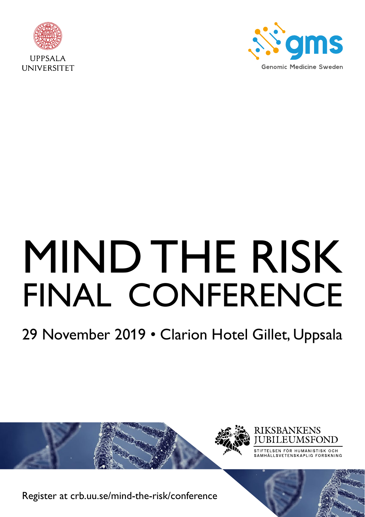



# MIND THE RISK FINAL CONFERENCE

## 29 November 2019 • Clarion Hotel Gillet, Uppsala



[Register at crb.uu.se/mind-the-risk/conference](http://Register at crb.uu.se/mind-the-risk/conference)